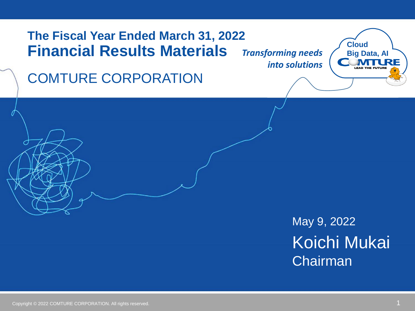## **The Fiscal Year Ended March 31, 2022 Financial Results Materials**

*Transforming needs into solutions*

**Cloud Big Data, AI** RF **LEAD THE FUTURE** 

COMTURE CORPORATION

May 9, 2022 Koichi Mukai **Chairman**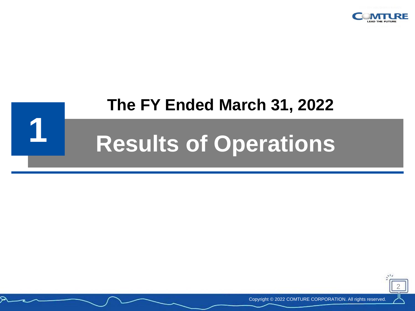

# **1 Results of Operations The FY Ended March 31, 2022**



Copyright © 2022 COMTURE CORPORATION. All rights reserved.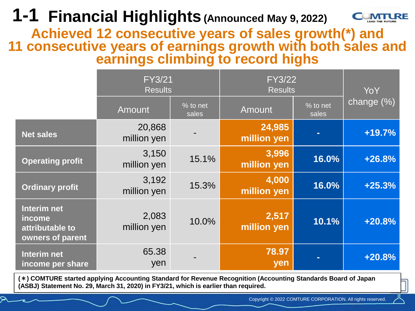## **1-1 Financial Highlights(Announced May 9, 2022)**



**Achieved 12 consecutive years of sales growth(\*) and 11 consecutive years of earnings growth with both sales and earnings climbing to record highs**

|                                                              | <b>FY3/21</b><br><b>Results</b> |                   | <b>FY3/22</b><br><b>Results</b> |                   | YoY        |
|--------------------------------------------------------------|---------------------------------|-------------------|---------------------------------|-------------------|------------|
|                                                              | <b>Amount</b>                   | % to net<br>sales | Amount                          | % to net<br>sales | change (%) |
| <b>Net sales</b>                                             | 20,868<br>million yen           |                   | 24,985<br>million yen           |                   | $+19.7%$   |
| <b>Operating profit</b>                                      | 3,150<br>million yen            | 15.1%             | 3,996<br>million yen            | 16.0%             | $+26.8%$   |
| <b>Ordinary profit</b>                                       | 3,192<br>million yen            | 15.3%             | 4,000<br>million yen            | 16.0%             | $+25.3%$   |
| Interim net<br>income<br>attributable to<br>owners of parent | 2,083<br>million yen            | 10.0%             | 2,517<br>million yen            | 10.1%             | $+20.8%$   |
| Interim net<br>income per share                              | 65.38<br>yen                    |                   | 78.97<br>yen                    |                   | $+20.8%$   |

**(\*) COMTURE started applying Accounting Standard for Revenue Recognition (Accounting Standards Board of Japan (ASBJ) Statement No. 29, March 31, 2020) in FY3/21, which is earlier than required.**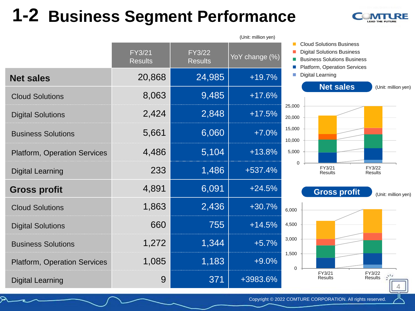## **1-2 Business Segment Performance**



|                                     | FY3/21<br><b>Results</b> | $\overline{FY3/22}$<br><b>Results</b> | YoY change (%) |              |
|-------------------------------------|--------------------------|---------------------------------------|----------------|--------------|
| <b>Net sales</b>                    | 20,868                   | 24,985                                | $+19.7%$       |              |
| <b>Cloud Solutions</b>              | 8,063                    | 9,485                                 | $+17.6%$       |              |
| <b>Digital Solutions</b>            | 2,424                    | 2,848                                 | $+17.5%$       | 25,0<br>20,0 |
| <b>Business Solutions</b>           | 5,661                    | 6,060                                 | $+7.0%$        | 15,0<br>10,0 |
| <b>Platform, Operation Services</b> | 4,486                    | 5,104                                 | $+13.8%$       | 5,0          |
| <b>Digital Learning</b>             | 233                      | 1,486                                 | $+537.4%$      |              |
| <b>Gross profit</b>                 | 4,891                    | 6,091                                 | $+24.5%$       |              |
| <b>Cloud Solutions</b>              | 1,863                    | 2,436                                 | $+30.7%$       | 6,00         |
| <b>Digital Solutions</b>            | 660                      | 755                                   | $+14.5%$       | 4,50         |
| <b>Business Solutions</b>           | 1,272                    | 1,344                                 | $+5.7%$        | 3,00         |
| <b>Platform, Operation Services</b> | 1,085                    | 1,183                                 | $+9.0%$        | 1,50         |
| <b>Digital Learning</b>             | 9                        | 371                                   | +3983.6%       |              |

(Unit: million yen)



- Business Solutions Business
- Platform, Operation Services
- Digital Learning



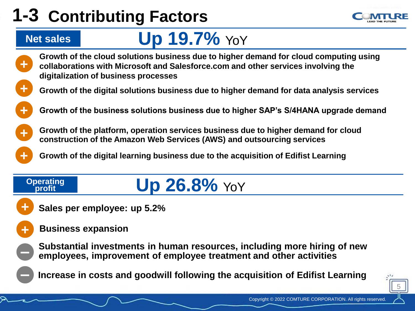# **1-3 Contributing Factors**

# **Net sales Up 19.7%** YoY

- 
- **+ Growth of the cloud solutions business due to higher demand for cloud computing using collaborations with Microsoft and Salesforce.com and other services involving the digitalization of business processes**
- **+ Growth of the digital solutions business due to higher demand for data analysis services**
- **+ Growth of the business solutions business due to higher SAP's S/4HANA upgrade demand**
	- **Growth of the platform, operation services business due to higher demand for cloud construction of the Amazon Web Services (AWS) and outsourcing services**
	- **+ Growth of the digital learning business due to the acquisition of Edifist Learning**

# **profit Up 26.8%** YoY

**Sales per employee: up 5.2%**

#### **Business expansion**

**+**

**+**

**Operating** 

**-**

**+**

**Substantial investments in human resources, including more hiring of new employees, improvement of employee treatment and other activities**

**- Increase in costs and goodwill following the acquisition of Edifist Learning**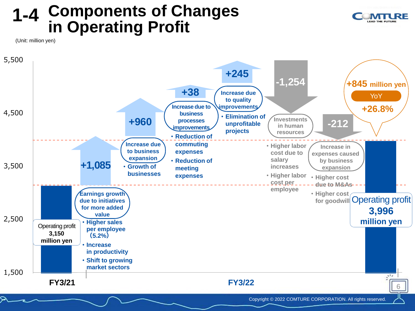#### **Components of Changes in Operating Profit 1-4**



(Unit: million yen)

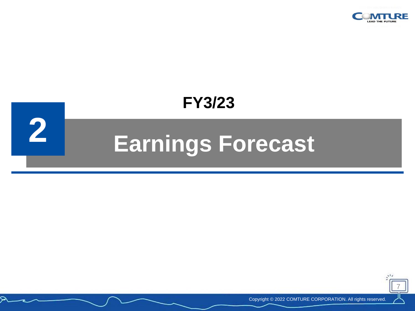

## **FY3/23**

# **2 Earnings Forecast**



Copyright © 2022 COMTURE CORPORATION. All rights reserved.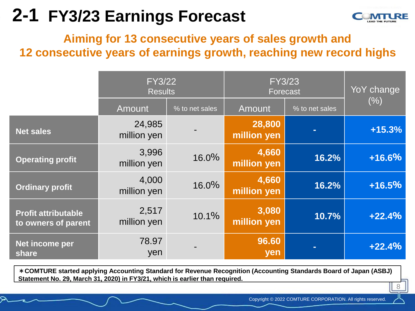## **2-1 FY3/23 Earnings Forecast**



8

## **Aiming for 13 consecutive years of sales growth and 12 consecutive years of earnings growth, reaching new record highs**

|                                                   | <b>FY3/22</b><br><b>Results</b> |                | <b>FY3/23</b><br><b>Forecast</b> |                | YoY change |
|---------------------------------------------------|---------------------------------|----------------|----------------------------------|----------------|------------|
|                                                   | Amount                          | % to net sales | Amount                           | % to net sales | (%)        |
| <b>Net sales</b>                                  | 24,985<br>million yen           |                | 28,800<br>million yen            |                | $+15.3%$   |
| <b>Operating profit</b>                           | 3,996<br>million yen            | 16.0%          | 4,660<br>million yen             | 16.2%          | +16.6%     |
| <b>Ordinary profit</b>                            | 4,000<br>million yen            | 16.0%          | 4,660<br>million yen             | 16.2%          | $+16.5%$   |
| <b>Profit attributable</b><br>to owners of parent | 2,517<br>million yen            | 10.1%          | 3,080<br>million yen             | 10.7%          | $+22.4%$   |
| Net income per<br>share                           | 78.97<br>yen                    |                | 96.60<br>yen                     |                | $+22.4%$   |

**\*COMTURE started applying Accounting Standard for Revenue Recognition (Accounting Standards Board of Japan (ASBJ) Statement No. 29, March 31, 2020) in FY3/21, which is earlier than required.**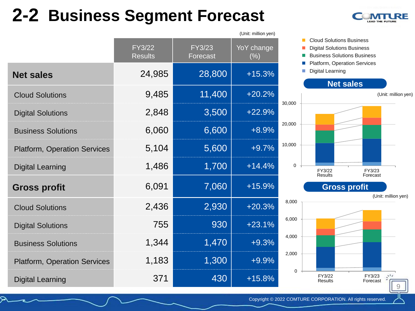## **2-2 Business Segment Forecast**



|                                     |                          |                           | (Unit: million yen)  |    |
|-------------------------------------|--------------------------|---------------------------|----------------------|----|
|                                     | FY3/22<br><b>Results</b> | <b>FY3/23</b><br>Forecast | YoY change<br>$(\%)$ |    |
| <b>Net sales</b>                    | 24,985                   | 28,800                    | $+15.3%$             |    |
| <b>Cloud Solutions</b>              | 9,485                    | 11,400                    | $+20.2%$             | 30 |
| <b>Digital Solutions</b>            | 2,848                    | 3,500                     | $+22.9%$             |    |
| <b>Business Solutions</b>           | 6,060                    | 6,600                     | $+8.9\%$             | 20 |
| <b>Platform, Operation Services</b> | 5,104                    | 5,600                     | $+9.7%$              | 10 |
| <b>Digital Learning</b>             | 1,486                    | 1,700                     | $+14.4%$             |    |
| <b>Gross profit</b>                 | 6,091                    | 7,060                     | $+15.9%$             |    |
| <b>Cloud Solutions</b>              | 2,436                    | 2,930                     | $+20.3%$             |    |
| <b>Digital Solutions</b>            | 755                      | 930                       | $+23.1%$             | 6  |
| <b>Business Solutions</b>           | 1,344                    | 1,470                     | $+9.3%$              |    |
| <b>Platform, Operation Services</b> | 1,183                    | 1,300                     | $+9.9%$              |    |
| <b>Digital Learning</b>             | 371                      | 430                       | $+15.8%$             |    |



- Digital Solutions Business
- Business Solutions Business
- Platform, Operation Services
- Digital Learning



FY3/23 Forecast

9

 $\mathcal{F}^{\mathcal{E}}$ 

FY3/22 Results

0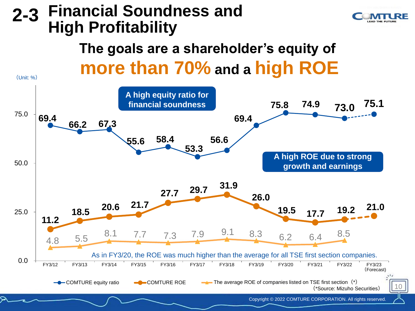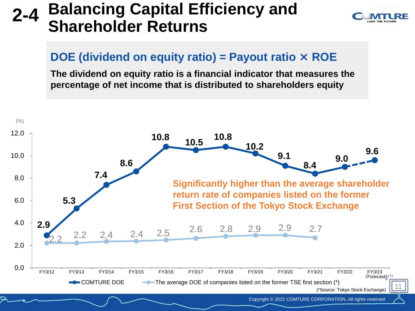#### **2-4 Balancing Capital Efficiency and Shareholder Returns**



## **DOE (dividend on equity ratio) = Payout ratio × ROE**

**The dividend on equity ratio is a financial indicator that measures the percentage of net income that is distributed to shareholders equity**

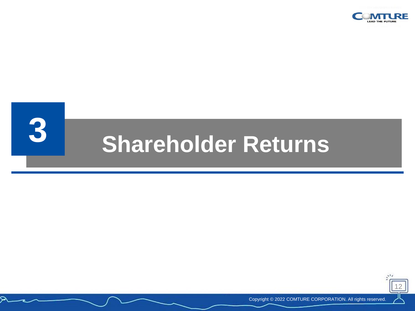





Copyright © 2022 COMTURE CORPORATION. All rights reserved.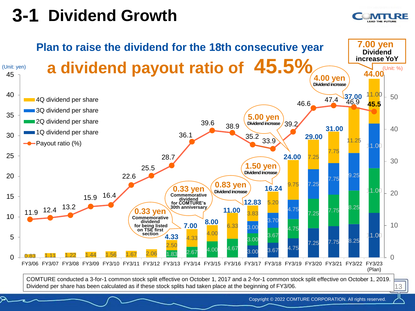## **3-1 Dividend Growth**

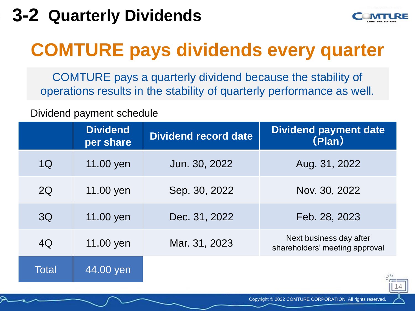## **3-2 Quarterly Dividends**



# **COMTURE pays dividends every quarter**

COMTURE pays a quarterly dividend because the stability of operations results in the stability of quarterly performance as well.

#### Dividend payment schedule

|       | <b>Dividend</b><br>per share | <b>Dividend record date</b> | <b>Dividend payment date</b><br>(Plan)                    |
|-------|------------------------------|-----------------------------|-----------------------------------------------------------|
| 1Q    | 11.00 yen                    | Jun. 30, 2022               | Aug. 31, 2022                                             |
| 2Q    | 11.00 yen                    | Sep. 30, 2022               | Nov. 30, 2022                                             |
| 3Q    | 11.00 yen                    | Dec. 31, 2022               | Feb. 28, 2023                                             |
| 4Q    | 11.00 yen                    | Mar. 31, 2023               | Next business day after<br>shareholders' meeting approval |
| Total | 44.00 yen                    |                             |                                                           |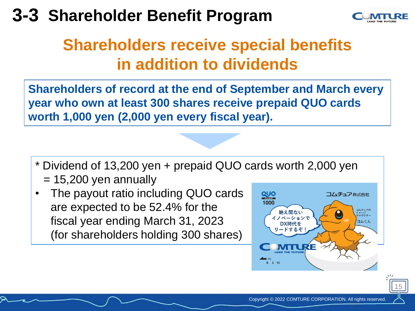## **3-3 Shareholder Benefit Program**



15

## **Shareholders receive special benefits in addition to dividends**

**Shareholders of record at the end of September and March every year who own at least 300 shares receive prepaid QUO cards worth 1,000 yen (2,000 yen every fiscal year).**

- \* Dividend of 13,200 yen + prepaid QUO cards worth 2,000 yen  $= 15,200$  yen annually
- The payout ratio including QUO cards are expected to be 52.4% for the fiscal year ending March 31, 2023 (for shareholders holding 300 shares)